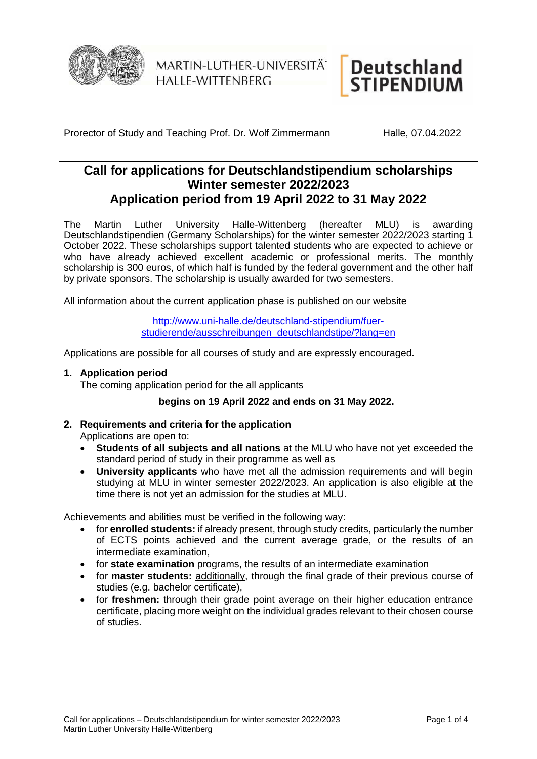

MARTIN-LUTHER-UNIVERSITÄT **HALLE-WITTENBERG** 

# **Deutschland STIPENDIUM**

Prorector of Study and Teaching Prof. Dr. Wolf Zimmermann Halle, 07.04.2022

## **Call for applications for Deutschlandstipendium scholarships Winter semester 2022/2023 Application period from 19 April 2022 to 31 May 2022**

The Martin Luther University Halle-Wittenberg (hereafter MLU) is awarding Deutschlandstipendien (Germany Scholarships) for the winter semester 2022/2023 starting 1 October 2022. These scholarships support talented students who are expected to achieve or who have already achieved excellent academic or professional merits. The monthly scholarship is 300 euros, of which half is funded by the federal government and the other half by private sponsors. The scholarship is usually awarded for two semesters.

All information about the current application phase is published on our website

[http://www.uni-halle.de/deutschland-stipendium/fuer](http://www.uni-halle.de/deutschland-stipendium/fuer-studierende/ausschreibungen_deutschlandstipe/?lang=en)[studierende/ausschreibungen\\_deutschlandstipe/?lang=en](http://www.uni-halle.de/deutschland-stipendium/fuer-studierende/ausschreibungen_deutschlandstipe/?lang=en)

Applications are possible for all courses of study and are expressly encouraged.

#### **1. Application period**

The coming application period for the all applicants

#### **begins on 19 April 2022 and ends on 31 May 2022.**

#### **2. Requirements and criteria for the application**

Applications are open to:

- **Students of all subjects and all nations** at the MLU who have not yet exceeded the standard period of study in their programme as well as
- **University applicants** who have met all the admission requirements and will begin studying at MLU in winter semester 2022/2023. An application is also eligible at the time there is not yet an admission for the studies at MLU.

Achievements and abilities must be verified in the following way:

- for **enrolled students:** if already present, through study credits, particularly the number of ECTS points achieved and the current average grade, or the results of an intermediate examination,
- for **state examination** programs, the results of an intermediate examination
- for **master students:** additionally, through the final grade of their previous course of studies (e.g. bachelor certificate),
- for **freshmen:** through their grade point average on their higher education entrance certificate, placing more weight on the individual grades relevant to their chosen course of studies.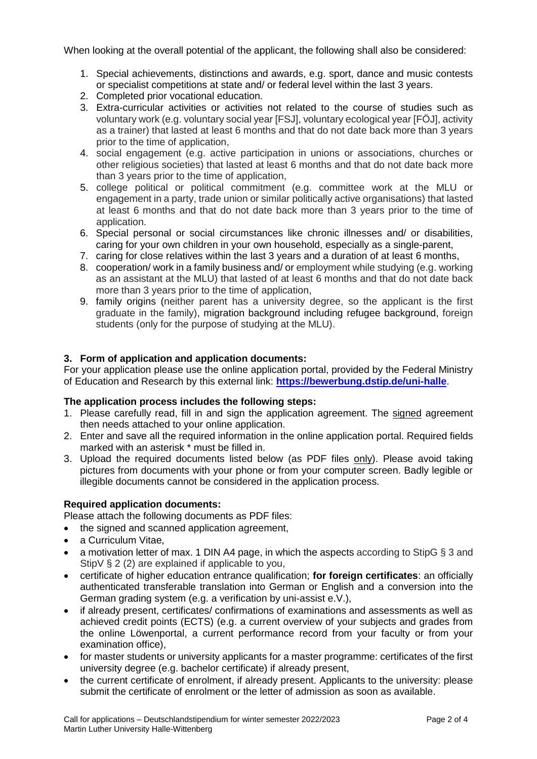When looking at the overall potential of the applicant, the following shall also be considered:

- 1. Special achievements, distinctions and awards, e.g. sport, dance and music contests or specialist competitions at state and/ or federal level within the last 3 years.
- 2. Completed prior vocational education.
- 3. Extra-curricular activities or activities not related to the course of studies such as voluntary work (e.g. voluntary social year [FSJ], voluntary ecological year [FÖJ], activity as a trainer) that lasted at least 6 months and that do not date back more than 3 years prior to the time of application,
- 4. social engagement (e.g. active participation in unions or associations, churches or other religious societies) that lasted at least 6 months and that do not date back more than 3 years prior to the time of application,
- 5. college political or political commitment (e.g. committee work at the MLU or engagement in a party, trade union or similar politically active organisations) that lasted at least 6 months and that do not date back more than 3 years prior to the time of application.
- 6. Special personal or social circumstances like chronic illnesses and/ or disabilities, caring for your own children in your own household, especially as a single-parent,
- 7. caring for close relatives within the last 3 years and a duration of at least 6 months,
- 8. cooperation/ work in a family business and/ or employment while studying (e.g. working as an assistant at the MLU) that lasted of at least 6 months and that do not date back more than 3 years prior to the time of application,
- 9. family origins (neither parent has a university degree, so the applicant is the first graduate in the family), migration background including refugee background, foreign students (only for the purpose of studying at the MLU).

#### **3. Form of application and application documents:**

For your application please use the online application portal, provided by the Federal Ministry of Education and Research by this external link: **<https://bewerbung.dstip.de/uni-halle>**.

#### **The application process includes the following steps:**

- 1. Please carefully read, fill in and sign the application agreement. The signed agreement then needs attached to your online application.
- 2. Enter and save all the required information in the online application portal. Required fields marked with an asterisk \* must be filled in.
- 3. Upload the required documents listed below (as PDF files only). Please avoid taking pictures from documents with your phone or from your computer screen. Badly legible or illegible documents cannot be considered in the application process.

#### **Required application documents:**

Please attach the following documents as PDF files:

- the signed and scanned application agreement,
- a Curriculum Vitae.
- a motivation letter of max. 1 DIN A4 page, in which the aspects according to StipG § 3 and StipV § 2 (2) are explained if applicable to you,
- certificate of higher education entrance qualification; **for foreign certificates**: an officially authenticated transferable translation into German or English and a conversion into the German grading system (e.g. a verification by uni-assist e.V.),
- if already present, certificates/ confirmations of examinations and assessments as well as achieved credit points (ECTS) (e.g. a current overview of your subjects and grades from the online Löwenportal, a current performance record from your faculty or from your examination office),
- for master students or university applicants for a master programme: certificates of the first university degree (e.g. bachelor certificate) if already present,
- the current certificate of enrolment, if already present. Applicants to the university: please submit the certificate of enrolment or the letter of admission as soon as available.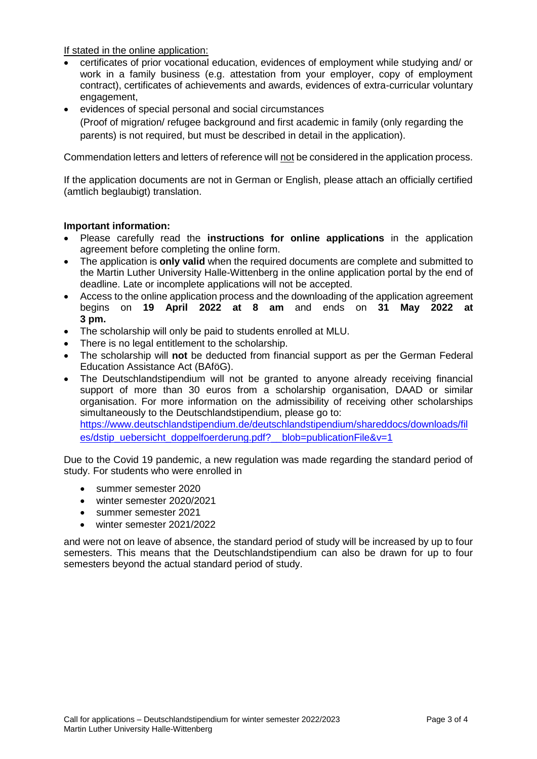If stated in the online application:

- certificates of prior vocational education, evidences of employment while studying and/ or work in a family business (e.g. attestation from your employer, copy of employment contract), certificates of achievements and awards, evidences of extra-curricular voluntary engagement,
- evidences of special personal and social circumstances (Proof of migration/ refugee background and first academic in family (only regarding the parents) is not required, but must be described in detail in the application).

Commendation letters and letters of reference will not be considered in the application process.

If the application documents are not in German or English, please attach an officially certified (amtlich beglaubigt) translation.

#### **Important information:**

- Please carefully read the **instructions for online applications** in the application agreement before completing the online form.
- The application is **only valid** when the required documents are complete and submitted to the Martin Luther University Halle-Wittenberg in the online application portal by the end of deadline. Late or incomplete applications will not be accepted.
- Access to the online application process and the downloading of the application agreement begins on **19 April 2022 at 8 am** and ends on **31 May 2022 at 3 pm.**
- The scholarship will only be paid to students enrolled at MLU.
- There is no legal entitlement to the scholarship.
- The scholarship will **not** be deducted from financial support as per the German Federal Education Assistance Act (BAföG).
- The Deutschlandstipendium will not be granted to anyone already receiving financial support of more than 30 euros from a scholarship organisation. DAAD or similar organisation. For more information on the admissibility of receiving other scholarships simultaneously to the Deutschlandstipendium, please go to: [https://www.deutschlandstipendium.de/deutschlandstipendium/shareddocs/downloads/fil](https://www.deutschlandstipendium.de/deutschlandstipendium/shareddocs/downloads/files/dstip_uebersicht_doppelfoerderung.pdf?__blob=publicationFile&v=1) [es/dstip\\_uebersicht\\_doppelfoerderung.pdf?\\_\\_blob=publicationFile&v=1](https://www.deutschlandstipendium.de/deutschlandstipendium/shareddocs/downloads/files/dstip_uebersicht_doppelfoerderung.pdf?__blob=publicationFile&v=1)

Due to the Covid 19 pandemic, a new regulation was made regarding the standard period of study. For students who were enrolled in

- summer semester 2020
- winter semester 2020/2021
- summer semester 2021
- winter semester 2021/2022

and were not on leave of absence, the standard period of study will be increased by up to four semesters. This means that the Deutschlandstipendium can also be drawn for up to four semesters beyond the actual standard period of study.